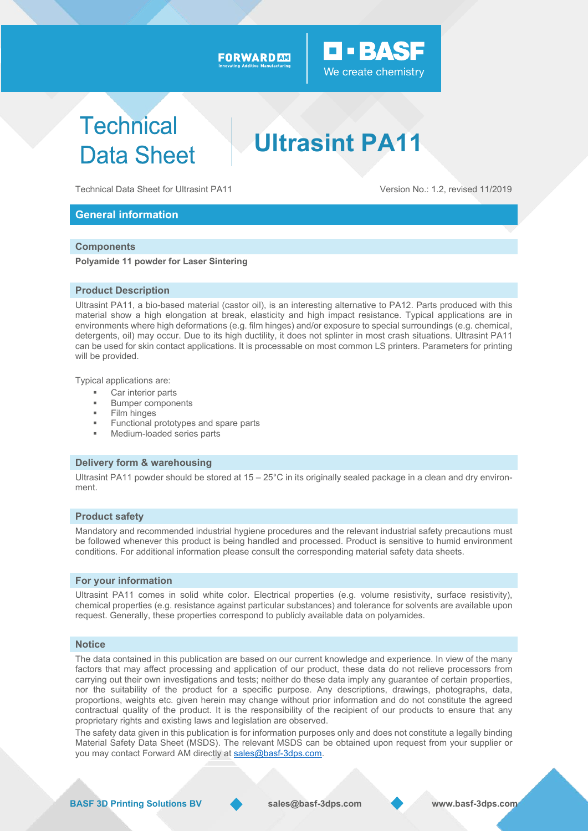#### FORWARD AM



# **Technical Data Sheet**

**Ultrasint PA11** 

Technical Data Sheet for Ultrasint PA11 Version No.: 1.2, revised 11/2019

#### **General information**

#### **Components**

**Polyamide 11 powder for Laser Sintering** 

#### **Product Description**

Ultrasint PA11, a bio-based material (castor oil), is an interesting alternative to PA12. Parts produced with this material show a high elongation at break, elasticity and high impact resistance. Typical applications are in environments where high deformations (e.g. film hinges) and/or exposure to special surroundings (e.g. chemical, detergents, oil) may occur. Due to its high ductility, it does not splinter in most crash situations. Ultrasint PA11 can be used for skin contact applications. It is processable on most common LS printers. Parameters for printing will be provided.

Typical applications are:

- Car interior parts
- Bumper components
- Film hinges
- Functional prototypes and spare parts
- Medium-loaded series parts

#### **Delivery form & warehousing**

Ultrasint PA11 powder should be stored at 15 – 25°C in its originally sealed package in a clean and dry environment.

#### **Product safety**

Mandatory and recommended industrial hygiene procedures and the relevant industrial safety precautions must be followed whenever this product is being handled and processed. Product is sensitive to humid environment conditions. For additional information please consult the corresponding material safety data sheets.

#### **For your information**

Ultrasint PA11 comes in solid white color. Electrical properties (e.g. volume resistivity, surface resistivity), chemical properties (e.g. resistance against particular substances) and tolerance for solvents are available upon request. Generally, these properties correspond to publicly available data on polyamides.

#### **Notice**

The data contained in this publication are based on our current knowledge and experience. In view of the many factors that may affect processing and application of our product, these data do not relieve processors from carrying out their own investigations and tests; neither do these data imply any guarantee of certain properties, nor the suitability of the product for a specific purpose. Any descriptions, drawings, photographs, data, proportions, weights etc. given herein may change without prior information and do not constitute the agreed contractual quality of the product. It is the responsibility of the recipient of our products to ensure that any proprietary rights and existing laws and legislation are observed.

The safety data given in this publication is for information purposes only and does not constitute a legally binding Material Safety Data Sheet (MSDS). The relevant MSDS can be obtained upon request from your supplier or you may contact Forward AM directly at sales@basf-3dps.com.

**BASF 3D Printing Solutions BV sales@basf-3dps.com www.basf-3dps.com**